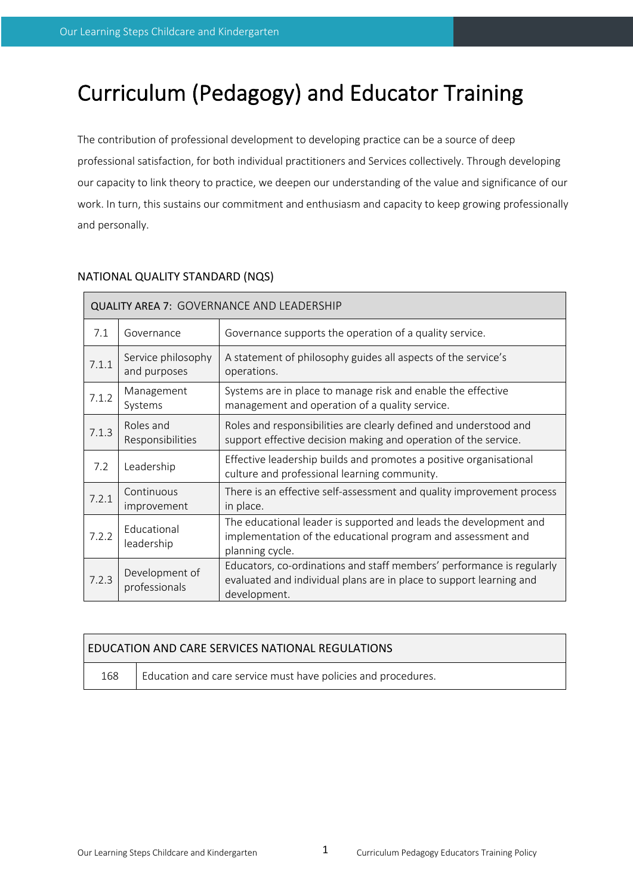# Curriculum (Pedagogy) and Educator Training

The contribution of professional development to developing practice can be a source of deep professional satisfaction, for both individual practitioners and Services collectively. Through developing our capacity to link theory to practice, we deepen our understanding of the value and significance of our work. In turn, this sustains our commitment and enthusiasm and capacity to keep growing professionally and personally.

# NATIONAL QUALITY STANDARD (NQS)

| <b>QUALITY AREA 7: GOVERNANCE AND LEADERSHIP</b> |                                    |                                                                                                                                                              |  |  |  |
|--------------------------------------------------|------------------------------------|--------------------------------------------------------------------------------------------------------------------------------------------------------------|--|--|--|
| 7.1                                              | Governance                         | Governance supports the operation of a quality service.                                                                                                      |  |  |  |
| 7.1.1                                            | Service philosophy<br>and purposes | A statement of philosophy guides all aspects of the service's<br>operations.                                                                                 |  |  |  |
| 7.1.2                                            | Management<br>Systems              | Systems are in place to manage risk and enable the effective<br>management and operation of a quality service.                                               |  |  |  |
| 7.1.3                                            | Roles and<br>Responsibilities      | Roles and responsibilities are clearly defined and understood and<br>support effective decision making and operation of the service.                         |  |  |  |
| 7.2                                              | Leadership                         | Effective leadership builds and promotes a positive organisational<br>culture and professional learning community.                                           |  |  |  |
| 7.2.1                                            | Continuous<br>improvement          | There is an effective self-assessment and quality improvement process<br>in place.                                                                           |  |  |  |
| 7.2.2                                            | Educational<br>leadership          | The educational leader is supported and leads the development and<br>implementation of the educational program and assessment and<br>planning cycle.         |  |  |  |
| 7.2.3                                            | Development of<br>professionals    | Educators, co-ordinations and staff members' performance is regularly<br>evaluated and individual plans are in place to support learning and<br>development. |  |  |  |

| <b>EDUCATION AND CARE SERVICES NATIONAL REGULATIONS</b> |                                                               |  |  |  |  |
|---------------------------------------------------------|---------------------------------------------------------------|--|--|--|--|
| 168                                                     | Education and care service must have policies and procedures. |  |  |  |  |

|  |  |  | Our Learning Steps Childcare and Kindergarten |
|--|--|--|-----------------------------------------------|
|--|--|--|-----------------------------------------------|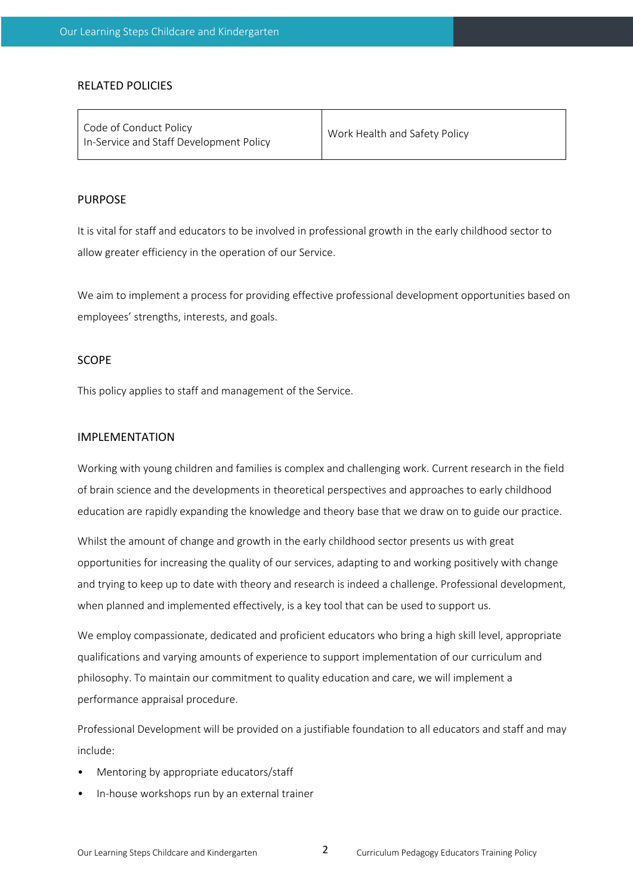### RELATED POLICIES

| Code of Conduct Policy<br>In-Service and Staff Development Policy | Work Health and Safety Policy |
|-------------------------------------------------------------------|-------------------------------|
|                                                                   |                               |

#### PURPOSE

It is vital for staff and educators to be involved in professional growth in the early childhood sector to allow greater efficiency in the operation of our Service.

We aim to implement a process for providing effective professional development opportunities based on employees' strengths, interests, and goals.

## SCOPE

This policy applies to staff and management of the Service.

## IMPLEMENTATION

Working with young children and families is complex and challenging work. Current research in the field of brain science and the developments in theoretical perspectives and approaches to early childhood education are rapidly expanding the knowledge and theory base that we draw on to guide our practice.

Whilst the amount of change and growth in the early childhood sector presents us with great opportunities for increasing the quality of our services, adapting to and working positively with change and trying to keep up to date with theory and research is indeed a challenge. Professional development, when planned and implemented effectively, is a key tool that can be used to support us.

We employ compassionate, dedicated and proficient educators who bring a high skill level, appropriate qualifications and varying amounts of experience to support implementation of our curriculum and philosophy. To maintain our commitment to quality education and care, we will implement a performance appraisal procedure.

Professional Development will be provided on a justifiable foundation to all educators and staff and may include:

- Mentoring by appropriate educators/staff
- In-house workshops run by an external trainer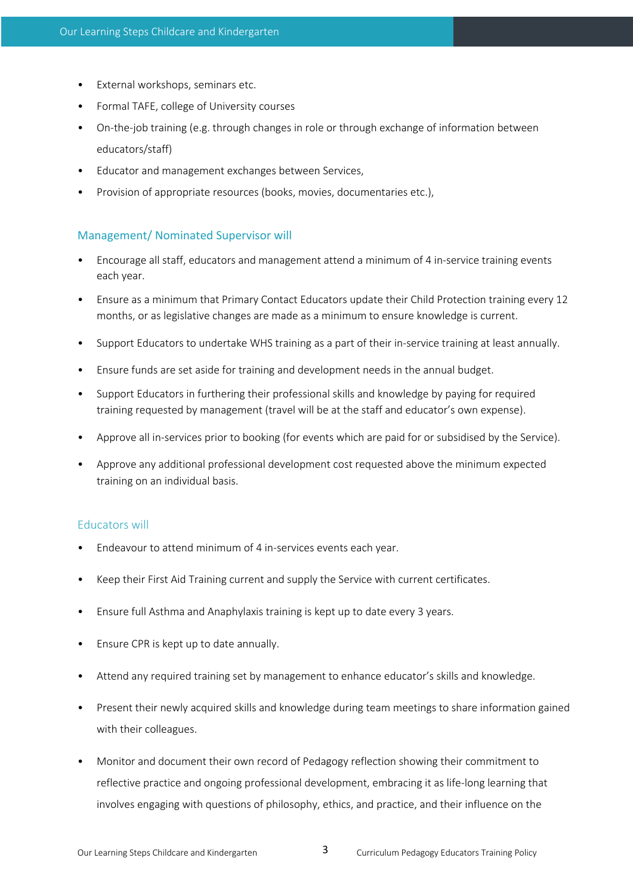- External workshops, seminars etc.
- Formal TAFE, college of University courses
- On-the-job training (e.g. through changes in role or through exchange of information between educators/staff)
- Educator and management exchanges between Services,
- Provision of appropriate resources (books, movies, documentaries etc.),

## Management/ Nominated Supervisor will

- Encourage all staff, educators and management attend a minimum of 4 in-service training events each year.
- Ensure as a minimum that Primary Contact Educators update their Child Protection training every 12 months, or as legislative changes are made as a minimum to ensure knowledge is current.
- Support Educators to undertake WHS training as a part of their in-service training at least annually.
- Ensure funds are set aside for training and development needs in the annual budget.
- Support Educators in furthering their professional skills and knowledge by paying for required training requested by management (travel will be at the staff and educator's own expense).
- Approve all in-services prior to booking (for events which are paid for or subsidised by the Service).
- Approve any additional professional development cost requested above the minimum expected training on an individual basis.

## Educators will

- Endeavour to attend minimum of 4 in-services events each year.
- Keep their First Aid Training current and supply the Service with current certificates.
- Ensure full Asthma and Anaphylaxis training is kept up to date every 3 years.
- Ensure CPR is kept up to date annually.
- Attend any required training set by management to enhance educator's skills and knowledge.
- Present their newly acquired skills and knowledge during team meetings to share information gained with their colleagues.
- Monitor and document their own record of Pedagogy reflection showing their commitment to reflective practice and ongoing professional development, embracing it as life-long learning that involves engaging with questions of philosophy, ethics, and practice, and their influence on the